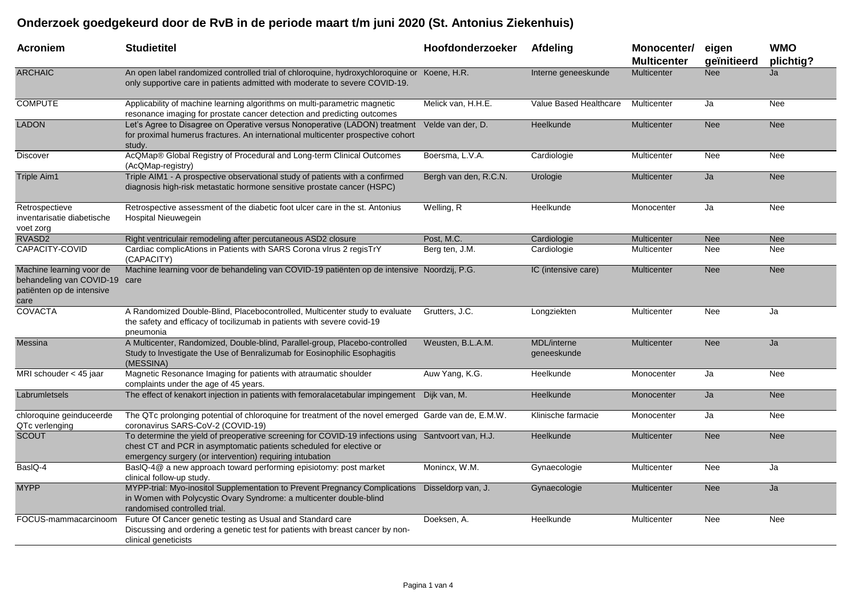## **Onderzoek goedgekeurd door de RvB in de periode maart t/m juni 2020 (St. Antonius Ziekenhuis)**

| Acroniem                                                                                       | <b>Studietitel</b>                                                                                                                                                                                                                    | Hoofdonderzoeker      | Afdeling                   | Monocenter/<br><b>Multicenter</b> | eigen<br>geïnitieerd | <b>WMO</b><br>plichtig? |
|------------------------------------------------------------------------------------------------|---------------------------------------------------------------------------------------------------------------------------------------------------------------------------------------------------------------------------------------|-----------------------|----------------------------|-----------------------------------|----------------------|-------------------------|
| <b>ARCHAIC</b>                                                                                 | An open label randomized controlled trial of chloroquine, hydroxychloroquine or Koene, H.R.<br>only supportive care in patients admitted with moderate to severe COVID-19.                                                            |                       | Interne geneeskunde        | <b>Multicenter</b>                | <b>Nee</b>           | Ja                      |
| <b>COMPUTE</b>                                                                                 | Applicability of machine learning algorithms on multi-parametric magnetic<br>resonance imaging for prostate cancer detection and predicting outcomes                                                                                  | Melick van, H.H.E.    | Value Based Healthcare     | Multicenter                       | Ja                   | Nee                     |
| <b>LADON</b>                                                                                   | Let's Agree to Disagree on Operative versus Nonoperative (LADON) treatment Velde van der, D.<br>for proximal humerus fractures. An international multicenter prospective cohort<br>study.                                             |                       | Heelkunde                  | Multicenter                       | <b>Nee</b>           | <b>Nee</b>              |
| <b>Discover</b>                                                                                | AcQMap® Global Registry of Procedural and Long-term Clinical Outcomes<br>(AcQMap-registry)                                                                                                                                            | Boersma, L.V.A.       | Cardiologie                | Multicenter                       | Nee                  | <b>Nee</b>              |
| <b>Triple Aim1</b>                                                                             | Triple AIM1 - A prospective observational study of patients with a confirmed<br>diagnosis high-risk metastatic hormone sensitive prostate cancer (HSPC)                                                                               | Bergh van den, R.C.N. | Urologie                   | <b>Multicenter</b>                | Ja                   | <b>Nee</b>              |
| Retrospectieve<br>inventarisatie diabetische<br>voet zorg                                      | Retrospective assessment of the diabetic foot ulcer care in the st. Antonius<br>Hospital Nieuwegein                                                                                                                                   | Welling, R            | Heelkunde                  | Monocenter                        | Ja                   | Nee                     |
| RVASD2                                                                                         | Right ventriculair remodeling after percutaneous ASD2 closure                                                                                                                                                                         | Post, M.C.            | Cardiologie                | Multicenter                       | <b>Nee</b>           | <b>Nee</b>              |
| CAPACITY-COVID                                                                                 | Cardiac complicAtions in Patients with SARS Corona vlrus 2 regisTrY<br>(CAPACITY)                                                                                                                                                     | Berg ten, J.M.        | Cardiologie                | Multicenter                       | Nee                  | <b>Nee</b>              |
| Machine learning voor de<br>behandeling van COVID-19 care<br>patiënten op de intensive<br>care | Machine learning voor de behandeling van COVID-19 patiënten op de intensive Noordzij, P.G.                                                                                                                                            |                       | IC (intensive care)        | <b>Multicenter</b>                | <b>Nee</b>           | <b>Nee</b>              |
| <b>COVACTA</b>                                                                                 | A Randomized Double-Blind, Placebocontrolled, Multicenter study to evaluate<br>the safety and efficacy of tocilizumab in patients with severe covid-19<br>pneumonia                                                                   | Grutters, J.C.        | Longziekten                | Multicenter                       | <b>Nee</b>           | Ja                      |
| Messina                                                                                        | A Multicenter, Randomized, Double-blind, Parallel-group, Placebo-controlled<br>Study to Investigate the Use of Benralizumab for Eosinophilic Esophagitis<br>(MESSINA)                                                                 | Weusten, B.L.A.M.     | MDL/interne<br>geneeskunde | <b>Multicenter</b>                | <b>Nee</b>           | Ja                      |
| MRI schouder < 45 jaar                                                                         | Magnetic Resonance Imaging for patients with atraumatic shoulder<br>complaints under the age of 45 years.                                                                                                                             | Auw Yang, K.G.        | Heelkunde                  | Monocenter                        | Ja                   | Nee                     |
| Labrumletsels                                                                                  | The effect of kenakort injection in patients with femoralacetabular impingement Dijk van, M.                                                                                                                                          |                       | Heelkunde                  | Monocenter                        | Ja                   | <b>Nee</b>              |
| chloroquine geinduceerde<br>QTc verlenging                                                     | The QTc prolonging potential of chloroquine for treatment of the novel emerged Garde van de, E.M.W.<br>coronavirus SARS-CoV-2 (COVID-19)                                                                                              |                       | Klinische farmacie         | Monocenter                        | Ja                   | Nee                     |
| <b>SCOUT</b>                                                                                   | To determine the yield of preoperative screening for COVID-19 infections using Santvoort van, H.J.<br>chest CT and PCR in asymptomatic patients scheduled for elective or<br>emergency surgery (or intervention) requiring intubation |                       | Heelkunde                  | <b>Multicenter</b>                | <b>Nee</b>           | <b>Nee</b>              |
| BasIQ-4                                                                                        | BasIQ-4@ a new approach toward performing episiotomy: post market<br>clinical follow-up study.                                                                                                                                        | Monincx, W.M.         | Gynaecologie               | Multicenter                       | Nee                  | Ja                      |
| <b>MYPP</b>                                                                                    | MYPP-trial: Myo-inositol Supplementation to Prevent Pregnancy Complications Disseldorp van, J.<br>in Women with Polycystic Ovary Syndrome: a multicenter double-blind<br>randomised controlled trial.                                 |                       | Gynaecologie               | <b>Multicenter</b>                | <b>Nee</b>           | Ja                      |
| FOCUS-mammacarcinoom                                                                           | Future Of Cancer genetic testing as Usual and Standard care<br>Discussing and ordering a genetic test for patients with breast cancer by non-<br>clinical geneticists                                                                 | Doeksen, A.           | Heelkunde                  | Multicenter                       | <b>Nee</b>           | <b>Nee</b>              |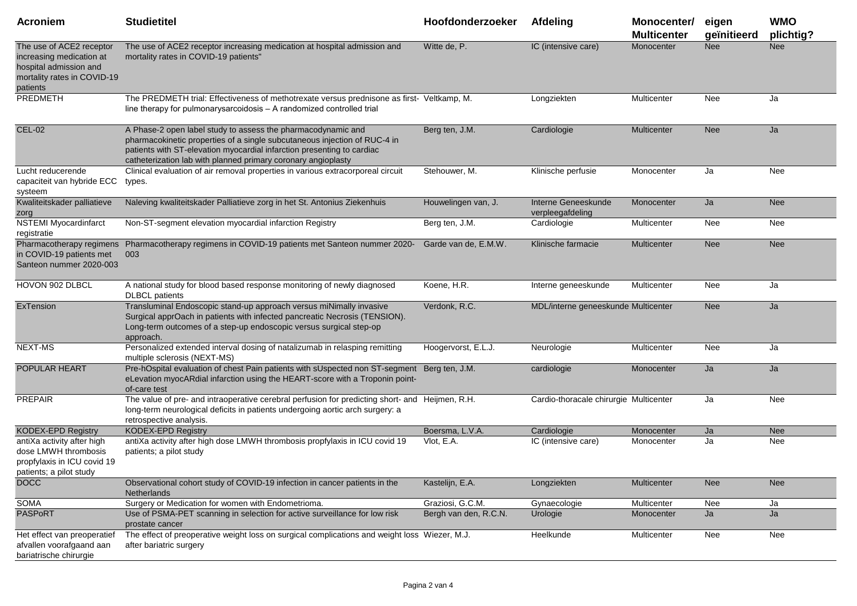| <b>Acroniem</b>                                                                                                           | <b>Studietitel</b>                                                                                                                                                                                                                                                                   | Hoofdonderzoeker      | <b>Afdeling</b>                         | Monocenter/<br><b>Multicenter</b> | eigen<br>geïnitieerd | <b>WMO</b><br>plichtig? |
|---------------------------------------------------------------------------------------------------------------------------|--------------------------------------------------------------------------------------------------------------------------------------------------------------------------------------------------------------------------------------------------------------------------------------|-----------------------|-----------------------------------------|-----------------------------------|----------------------|-------------------------|
| The use of ACE2 receptor<br>increasing medication at<br>hospital admission and<br>mortality rates in COVID-19<br>patients | The use of ACE2 receptor increasing medication at hospital admission and<br>mortality rates in COVID-19 patients"                                                                                                                                                                    | Witte de, P.          | IC (intensive care)                     | Monocenter                        | <b>Nee</b>           | <b>Nee</b>              |
| PREDMETH                                                                                                                  | The PREDMETH trial: Effectiveness of methotrexate versus prednisone as first- Veltkamp, M.<br>line therapy for pulmonarysarcoidosis - A randomized controlled trial                                                                                                                  |                       | Longziekten                             | Multicenter                       | Nee                  | Ja                      |
| <b>CEL-02</b>                                                                                                             | A Phase-2 open label study to assess the pharmacodynamic and<br>pharmacokinetic properties of a single subcutaneous injection of RUC-4 in<br>patients with ST-elevation myocardial infarction presenting to cardiac<br>catheterization lab with planned primary coronary angioplasty | Berg ten, J.M.        | Cardiologie                             | <b>Multicenter</b>                | <b>Nee</b>           | Ja                      |
| Lucht reducerende<br>capaciteit van hybride ECC<br>systeem                                                                | Clinical evaluation of air removal properties in various extracorporeal circuit<br>types.                                                                                                                                                                                            | Stehouwer, M.         | Klinische perfusie                      | Monocenter                        | Ja                   | Nee                     |
| Kwaliteitskader palliatieve<br>zorg                                                                                       | Naleving kwaliteitskader Palliatieve zorg in het St. Antonius Ziekenhuis                                                                                                                                                                                                             | Houwelingen van, J.   | Interne Geneeskunde<br>verpleegafdeling | Monocenter                        | Ja                   | <b>Nee</b>              |
| <b>NSTEMI Myocardinfarct</b><br>registratie                                                                               | Non-ST-segment elevation myocardial infarction Registry                                                                                                                                                                                                                              | Berg ten, J.M.        | Cardiologie                             | Multicenter                       | Nee                  | Nee                     |
| Pharmacotherapy regimens<br>in COVID-19 patients met<br>Santeon nummer 2020-003                                           | Pharmacotherapy regimens in COVID-19 patients met Santeon nummer 2020- Garde van de, E.M.W.<br>003                                                                                                                                                                                   |                       | Klinische farmacie                      | Multicenter                       | <b>Nee</b>           | <b>Nee</b>              |
| HOVON 902 DLBCL                                                                                                           | A national study for blood based response monitoring of newly diagnosed<br><b>DLBCL</b> patients                                                                                                                                                                                     | Koene, H.R.           | Interne geneeskunde                     | Multicenter                       | Nee                  | Ja                      |
| ExTension                                                                                                                 | Transluminal Endoscopic stand-up approach versus miNimally invasive<br>Surgical apprOach in patients with infected pancreatic Necrosis (TENSION).<br>Long-term outcomes of a step-up endoscopic versus surgical step-op<br>approach.                                                 | Verdonk, R.C.         | MDL/interne geneeskunde Multicenter     |                                   | <b>Nee</b>           | Ja                      |
| <b>NEXT-MS</b>                                                                                                            | Personalized extended interval dosing of natalizumab in relasping remitting<br>multiple sclerosis (NEXT-MS)                                                                                                                                                                          | Hoogervorst, E.L.J.   | Neurologie                              | Multicenter                       | Nee                  | Ja                      |
| POPULAR HEART                                                                                                             | Pre-hOspital evaluation of chest Pain patients with sUspected non ST-segment Berg ten, J.M.<br>eLevation myocARdial infarction using the HEART-score with a Troponin point-<br>of-care test                                                                                          |                       | cardiologie                             | Monocenter                        | Ja                   | Ja                      |
| <b>PREPAIR</b>                                                                                                            | The value of pre- and intraoperative cerebral perfusion for predicting short- and Heijmen, R.H.<br>long-term neurological deficits in patients undergoing aortic arch surgery: a<br>retrospective analysis.                                                                          |                       | Cardio-thoracale chirurgie Multicenter  |                                   | Ja                   | Nee                     |
| <b>KODEX-EPD Registry</b>                                                                                                 | <b>KODEX-EPD Registry</b>                                                                                                                                                                                                                                                            | Boersma, L.V.A.       | Cardiologie                             | Monocenter                        | Ja                   | <b>Nee</b>              |
| antiXa activity after high<br>dose LMWH thrombosis<br>propfylaxis in ICU covid 19<br>patients; a pilot study              | antiXa activity after high dose LMWH thrombosis propfylaxis in ICU covid 19<br>patients; a pilot study                                                                                                                                                                               | Vlot, E.A.            | IC (intensive care)                     | Monocenter                        | Ja                   | Nee                     |
| <b>DOCC</b>                                                                                                               | Observational cohort study of COVID-19 infection in cancer patients in the<br><b>Netherlands</b>                                                                                                                                                                                     | Kastelijn, E.A.       | Longziekten                             | Multicenter                       | <b>Nee</b>           | Nee                     |
| SOMA                                                                                                                      | Surgery or Medication for women with Endometrioma.                                                                                                                                                                                                                                   | Graziosi, G.C.M.      | Gynaecologie                            | Multicenter                       | Nee                  | Ja                      |
| PASPoRT                                                                                                                   | Use of PSMA-PET scanning in selection for active surveillance for low risk<br>prostate cancer                                                                                                                                                                                        | Bergh van den, R.C.N. | Urologie                                | Monocenter                        | Ja                   | Ja                      |
| Het effect van preoperatief<br>afvallen voorafgaand aan<br>bariatrische chirurgie                                         | The effect of preoperative weight loss on surgical complications and weight loss Wiezer, M.J.<br>after bariatric surgery                                                                                                                                                             |                       | Heelkunde                               | Multicenter                       | Nee                  | Nee                     |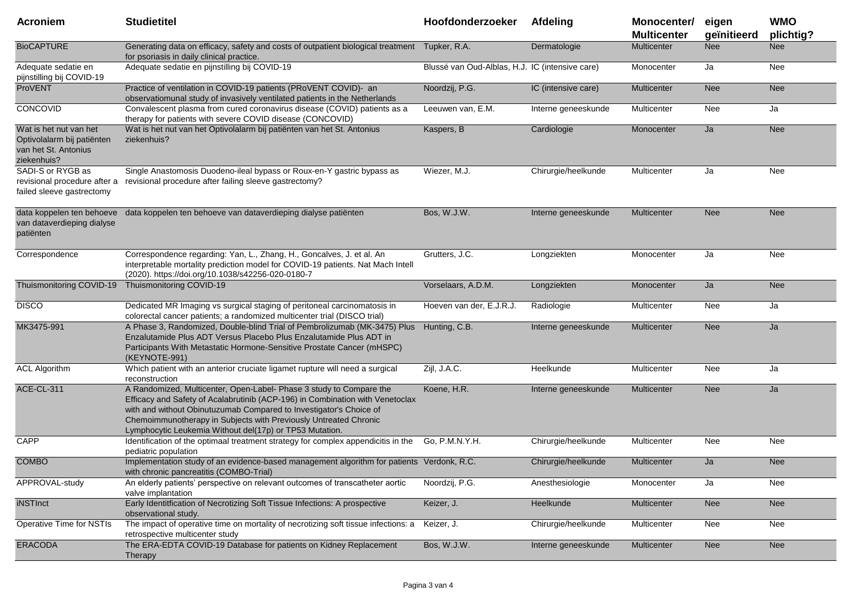| <b>Acroniem</b>                                                                             | <b>Studietitel</b>                                                                                                                                                                                                                                                                                                                                        | Hoofdonderzoeker                                | Afdeling            | Monocenter/<br><b>Multicenter</b> | eigen<br>geïnitieerd | <b>WMO</b><br>plichtig? |
|---------------------------------------------------------------------------------------------|-----------------------------------------------------------------------------------------------------------------------------------------------------------------------------------------------------------------------------------------------------------------------------------------------------------------------------------------------------------|-------------------------------------------------|---------------------|-----------------------------------|----------------------|-------------------------|
| <b>BioCAPTURE</b>                                                                           | Generating data on efficacy, safety and costs of outpatient biological treatment Tupker, R.A.<br>for psoriasis in daily clinical practice.                                                                                                                                                                                                                |                                                 | Dermatologie        | Multicenter                       | <b>Nee</b>           | Nee                     |
| Adequate sedatie en<br>pijnstilling bij COVID-19                                            | Adequate sedatie en pijnstilling bij COVID-19                                                                                                                                                                                                                                                                                                             | Blussé van Oud-Alblas, H.J. IC (intensive care) |                     | Monocenter                        | Ja                   | Nee                     |
| <b>ProVENT</b>                                                                              | Practice of ventilation in COVID-19 patients (PRoVENT COVID)- an<br>observatiomunal study of invasively ventilated patients in the Netherlands                                                                                                                                                                                                            | Noordzij, P.G.                                  | IC (intensive care) | Multicenter                       | <b>Nee</b>           | <b>Nee</b>              |
| CONCOVID                                                                                    | Convalescent plasma from cured coronavirus disease (COVID) patients as a<br>therapy for patients with severe COVID disease (CONCOVID)                                                                                                                                                                                                                     | Leeuwen van, E.M.                               | Interne geneeskunde | Multicenter                       | Nee                  | Ja                      |
| Wat is het nut van het<br>Optivolalarm bij patiënten<br>van het St. Antonius<br>ziekenhuis? | Wat is het nut van het Optivolalarm bij patiënten van het St. Antonius<br>ziekenhuis?                                                                                                                                                                                                                                                                     | Kaspers, B                                      | Cardiologie         | Monocenter                        | Ja                   | <b>Nee</b>              |
| SADI-S or RYGB as<br>revisional procedure after a<br>failed sleeve gastrectomy              | Single Anastomosis Duodeno-ileal bypass or Roux-en-Y gastric bypass as<br>revisional procedure after failing sleeve gastrectomy?                                                                                                                                                                                                                          | Wiezer, M.J.                                    | Chirurgie/heelkunde | Multicenter                       | Ja                   | Nee                     |
| van dataverdieping dialyse<br>patiënten                                                     | data koppelen ten behoeve data koppelen ten behoeve van dataverdieping dialyse patiënten                                                                                                                                                                                                                                                                  | Bos, W.J.W.                                     | Interne geneeskunde | Multicenter                       | <b>Nee</b>           | <b>Nee</b>              |
| Correspondence                                                                              | Correspondence regarding: Yan, L., Zhang, H., Goncalves, J. et al. An<br>interpretable mortality prediction model for COVID-19 patients. Nat Mach Intell<br>(2020). https://doi.org/10.1038/s42256-020-0180-7                                                                                                                                             | Grutters, J.C.                                  | Longziekten         | Monocenter                        | Ja                   | Nee                     |
| Thuismonitoring COVID-19                                                                    | Thuismonitoring COVID-19                                                                                                                                                                                                                                                                                                                                  | Vorselaars, A.D.M.                              | Longziekten         | Monocenter                        | Ja                   | <b>Nee</b>              |
| <b>DISCO</b>                                                                                | Dedicated MR Imaging vs surgical staging of peritoneal carcinomatosis in<br>colorectal cancer patients; a randomized multicenter trial (DISCO trial)                                                                                                                                                                                                      | Hoeven van der, E.J.R.J.                        | Radiologie          | Multicenter                       | Nee                  | Ja                      |
| MK3475-991                                                                                  | A Phase 3, Randomized, Double-blind Trial of Pembrolizumab (MK-3475) Plus<br>Enzalutamide Plus ADT Versus Placebo Plus Enzalutamide Plus ADT in<br>Participants With Metastatic Hormone-Sensitive Prostate Cancer (mHSPC)<br>(KEYNOTE-991)                                                                                                                | Hunting, C.B.                                   | Interne geneeskunde | Multicenter                       | <b>Nee</b>           | Ja                      |
| <b>ACL Algorithm</b>                                                                        | Which patient with an anterior cruciate ligamet rupture will need a surgical<br>reconstruction                                                                                                                                                                                                                                                            | Zijl, J.A.C.                                    | Heelkunde           | Multicenter                       | Nee                  | Ja                      |
| ACE-CL-311                                                                                  | A Randomized, Multicenter, Open-Label- Phase 3 study to Compare the<br>Efficacy and Safety of Acalabrutinib (ACP-196) in Combination with Venetoclax<br>with and without Obinutuzumab Compared to Investigator's Choice of<br>Chemoimmunotherapy in Subjects with Previously Untreated Chronic<br>Lymphocytic Leukemia Without del(17p) or TP53 Mutation. | Koene, H.R.                                     | Interne geneeskunde | <b>Multicenter</b>                | <b>Nee</b>           | Ja                      |
| CAPP                                                                                        | Identification of the optimaal treatment strategy for complex appendicitis in the Go, P.M.N.Y.H.<br>pediatric population                                                                                                                                                                                                                                  |                                                 | Chirurgie/heelkunde | Multicenter                       | Nee                  | Nee                     |
| <b>COMBO</b>                                                                                | Implementation study of an evidence-based management algorithm for patients Verdonk, R.C.<br>with chronic pancreatitis (COMBO-Trial)                                                                                                                                                                                                                      |                                                 | Chirurgie/heelkunde | Multicenter                       | Ja                   | <b>Nee</b>              |
| APPROVAL-study                                                                              | An elderly patients' perspective on relevant outcomes of transcatheter aortic<br>valve implantation                                                                                                                                                                                                                                                       | Noordzij, P.G.                                  | Anesthesiologie     | Monocenter                        | Ja                   | Nee                     |
| <b>iNSTInct</b>                                                                             | Early Identitfication of Necrotizing Soft Tissue Infections: A prospective<br>observational study.                                                                                                                                                                                                                                                        | Keizer, J.                                      | Heelkunde           | Multicenter                       | <b>Nee</b>           | Nee                     |
| Operative Time for NSTIs                                                                    | The impact of operative time on mortality of necrotizing soft tissue infections: a<br>retrospective multicenter study                                                                                                                                                                                                                                     | Keizer, J.                                      | Chirurgie/heelkunde | Multicenter                       | Nee                  | Nee                     |
| <b>ERACODA</b>                                                                              | The ERA-EDTA COVID-19 Database for patients on Kidney Replacement<br>Therapy                                                                                                                                                                                                                                                                              | Bos, W.J.W.                                     | Interne geneeskunde | Multicenter                       | <b>Nee</b>           | <b>Nee</b>              |